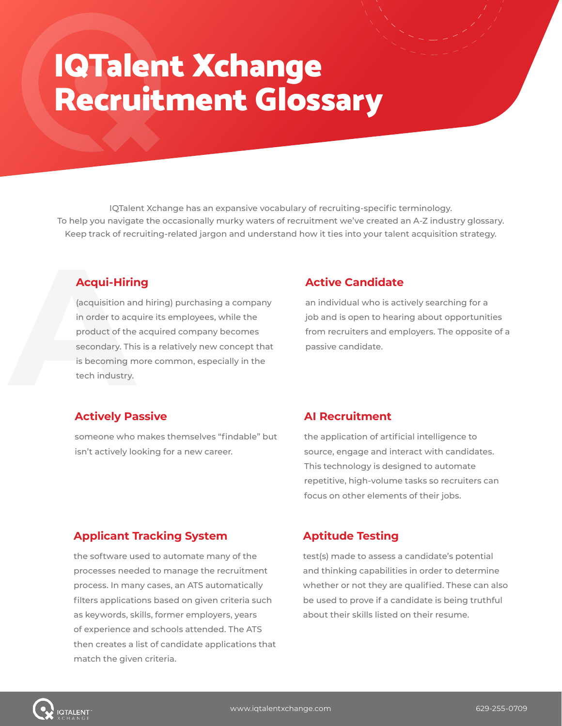# IQTalent Xchange Recruitment Glossary

IQTalent Xchange has an expansive vocabulary of recruiting-specific terminology. To help you navigate the occasionally murky waters of recruitment we've created an A-Z industry glossary. Keep track of recruiting-related jargon and understand how it ties into your talent acquisition strategy.

# **Acqui-Hiring**

**Acqui-Hirin**<br>
(acquisition ar<br>
in order to acc<br>
product of the<br>
secondary. Thi<br>
is becoming m<br>
tech industry. (acquisition and hiring) purchasing a company in order to acquire its employees, while the product of the acquired company becomes secondary. This is a relatively new concept that is becoming more common, especially in the tech industry.

#### **Active Candidate**

an individual who is actively searching for a job and is open to hearing about opportunities from recruiters and employers. The opposite of a passive candidate.

#### **Actively Passive**

someone who makes themselves "findable" but isn't actively looking for a new career.

#### **AI Recruitment**

the application of artificial intelligence to source, engage and interact with candidates. This technology is designed to automate repetitive, high-volume tasks so recruiters can focus on other elements of their jobs.

# **Applicant Tracking System**

the software used to automate many of the processes needed to manage the recruitment process. In many cases, an ATS automatically filters applications based on given criteria such as keywords, skills, former employers, years of experience and schools attended. The ATS then creates a list of candidate applications that match the given criteria.

# **Aptitude Testing**

test(s) made to assess a candidate's potential and thinking capabilities in order to determine whether or not they are qualified. These can also be used to prove if a candidate is being truthful about their skills listed on their resume.

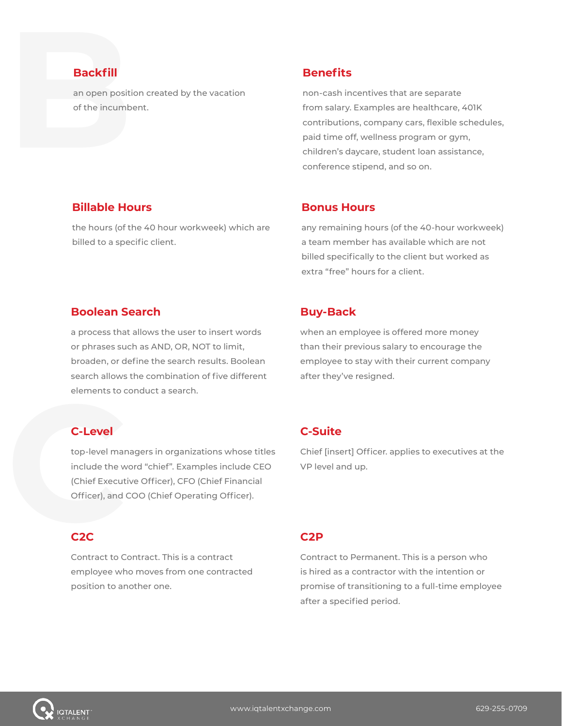# **Backfill**

**Backfill**<br>an open positiof the incumb an open position created by the vacation of the incumbent.

#### **Benefits**

non-cash incentives that are separate from salary. Examples are healthcare, 401K contributions, company cars, flexible schedules, paid time off, wellness program or gym, children's daycare, student loan assistance, conference stipend, and so on.

#### **Billable Hours**

the hours (of the 40 hour workweek) which are billed to a specific client.

#### **Bonus Hours**

any remaining hours (of the 40-hour workweek) a team member has available which are not billed specifically to the client but worked as extra "free" hours for a client.

#### **Boolean Search**

a process that allows the user to insert words or phrases such as AND, OR, NOT to limit, broaden, or define the search results. Boolean search allows the combination of five different elements to conduct a search.

# **C-Level**

elements to c<br> **C-Level**<br>
top-level mar<br>
include the w<br>
(Chief Execut<br>
Officer), and ( top-level managers in organizations whose titles include the word "chief". Examples include CEO (Chief Executive Officer), CFO (Chief Financial Officer), and COO (Chief Operating Officer).

#### **C2C**

Contract to Contract. This is a contract employee who moves from one contracted position to another one.

#### **Buy-Back**

when an employee is offered more money than their previous salary to encourage the employee to stay with their current company after they've resigned.

# **C-Suite**

Chief [insert] Officer. applies to executives at the VP level and up.

#### **C2P**

Contract to Permanent. This is a person who is hired as a contractor with the intention or promise of transitioning to a full-time employee after a specified period.

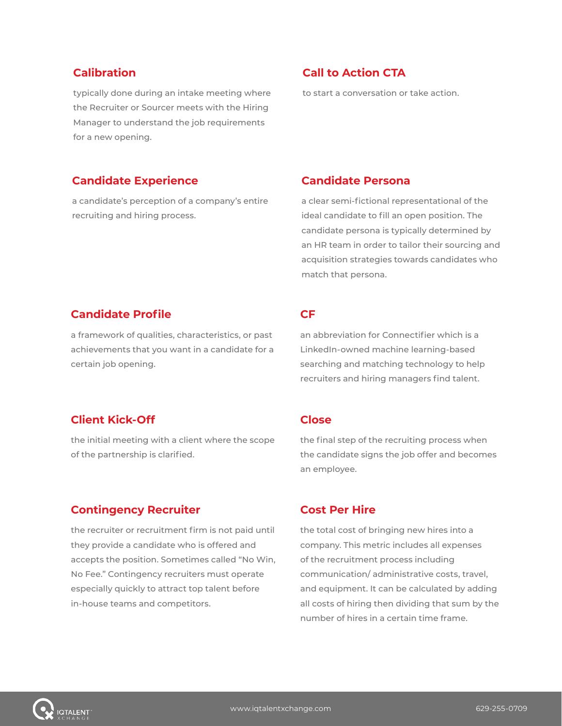#### **Calibration**

typically done during an intake meeting where the Recruiter or Sourcer meets with the Hiring Manager to understand the job requirements for a new opening.

#### **Call to Action CTA**

to start a conversation or take action.

#### **Candidate Experience**

a candidate's perception of a company's entire recruiting and hiring process.

#### **Candidate Persona**

a clear semi-fictional representational of the ideal candidate to fill an open position. The candidate persona is typically determined by an HR team in order to tailor their sourcing and acquisition strategies towards candidates who match that persona.

#### **Candidate Profile**

a framework of qualities, characteristics, or past achievements that you want in a candidate for a certain job opening.

# **Client Kick-Off**

the initial meeting with a client where the scope of the partnership is clarified.

#### **Contingency Recruiter**

the recruiter or recruitment firm is not paid until they provide a candidate who is offered and accepts the position. Sometimes called "No Win, No Fee." Contingency recruiters must operate especially quickly to attract top talent before in-house teams and competitors.

#### **CF**

an abbreviation for Connectifier which is a LinkedIn-owned machine learning-based searching and matching technology to help recruiters and hiring managers find talent.

#### **Close**

the final step of the recruiting process when the candidate signs the job offer and becomes an employee.

#### **Cost Per Hire**

the total cost of bringing new hires into a company. This metric includes all expenses of the recruitment process including communication/ administrative costs, travel, and equipment. It can be calculated by adding all costs of hiring then dividing that sum by the number of hires in a certain time frame.

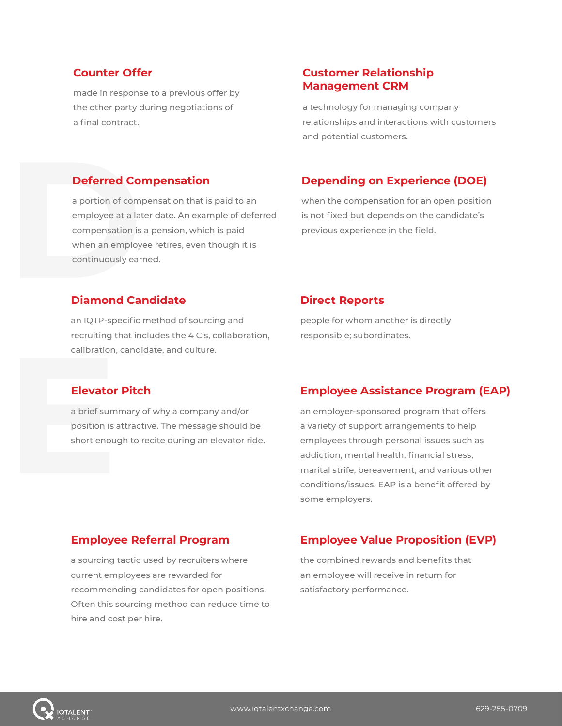# **Counter Offer**

made in response to a previous offer by the other party during negotiations of a final contract.

#### **Deferred Compensation**

**Deferred Condensation Condensation**<br> **employee at a lat compensation is when an employee of a parameter of compensation is when an employ continuously ear Diamond Care** a portion of compensation that is paid to an employee at a later date. An example of deferred compensation is a pension, which is paid when an employee retires, even though it is continuously earned.

#### **Customer Relationship Management CRM**

a technology for managing company relationships and interactions with customers and potential customers.

# **Depending on Experience (DOE)**

when the compensation for an open position is not fixed but depends on the candidate's previous experience in the field.

#### **Diamond Candidate**

an IQTP-specific method of sourcing and recruiting that includes the 4 C's, collaboration, calibration, candidate, and culture.

#### **Direct Reports**

people for whom another is directly responsible; subordinates.

#### **Elevator Pitch**

calibration,<br> **Elevator**<br>
a brief sum<br>
position is a<br>
short enou a brief summary of why a company and/or position is attractive. The message should be short enough to recite during an elevator ride.

# **Employee Assistance Program (EAP)**

an employer-sponsored program that offers a variety of support arrangements to help employees through personal issues such as addiction, mental health, financial stress, marital strife, bereavement, and various other conditions/issues. EAP is a benefit offered by some employers.

#### **Employee Referral Program**

a sourcing tactic used by recruiters where current employees are rewarded for recommending candidates for open positions. Often this sourcing method can reduce time to hire and cost per hire.

# **Employee Value Proposition (EVP)**

the combined rewards and benefits that an employee will receive in return for satisfactory performance.

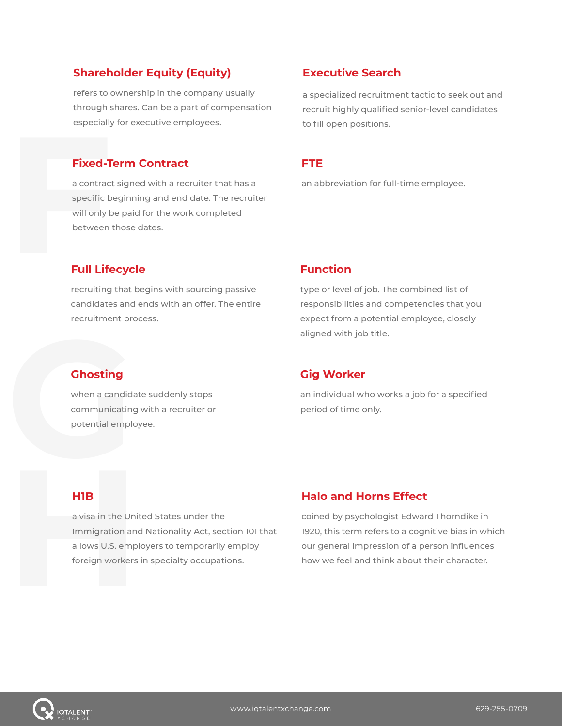# **Shareholder Equity (Equity)**

refers to ownership in the company usually through shares. Can be a part of compensation especially for executive employees.

#### **Fixed-Term Contract**

especially<br> **Fixed-T**<br>
a contrac<br>
specific b<br>
will only k<br>
between<br> **Full Lif**e a contract signed with a recruiter that has a specific beginning and end date. The recruiter will only be paid for the work completed between those dates.

# **Executive Search**

a specialized recruitment tactic to seek out and recruit highly qualified senior-level candidates to fill open positions.

#### **FTE**

an abbreviation for full-time employee.

# **Full Lifecycle**

recruiting that begins with sourcing passive candidates and ends with an offer. The entire recruitment process.

#### **Function**

type or level of job. The combined list of responsibilities and competencies that you expect from a potential employee, closely aligned with job title.

# **Ghosting**

when a candidate suddenly stops communicating with a recruiter or potential employee. aligned with job title.<br> **Gig Worker**<br>
when a candidate suddenly stops<br>
ommunicating with a recruiter or<br>
potential employee.<br>
potential employee.<br>
period of time only.

# **Gig Worker**

#### **H1B**

HIB<br>a visa in the Unit<br>Immigration and<br>allows U.S. empl<br>foreign workers a visa in the United States under the Immigration and Nationality Act, section 101 that allows U.S. employers to temporarily employ foreign workers in specialty occupations.

# **Halo and Horns Effect**

coined by psychologist Edward Thorndike in 1920, this term refers to a cognitive bias in which our general impression of a person influences how we feel and think about their character.

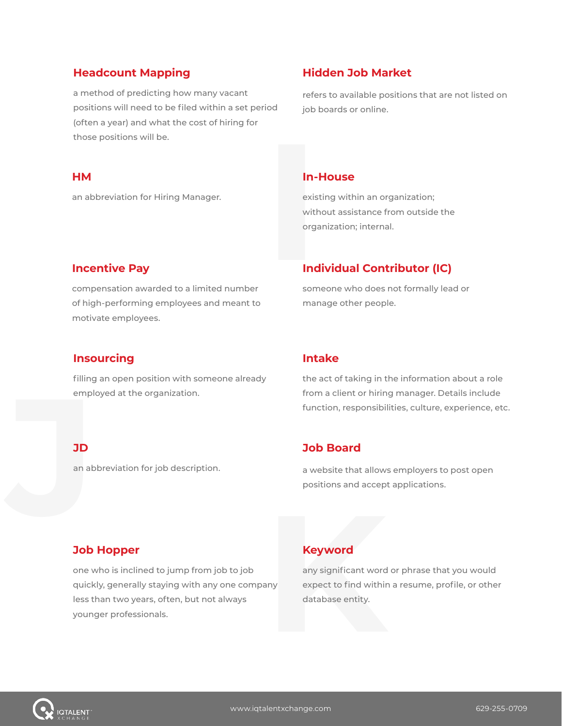#### **Headcount Mapping**

a method of predicting how many vacant positions will need to be filed within a set period (often a year) and what the cost of hiring for those positions will be.

# **Hidden Job Market**

refers to available positions that are not listed on job boards or online.

#### **HM**

an abbreviation for Hiring Manager.

#### **In-House**

**In-**<br>exis<br>with<br>orga<br>**Ind**<br>som existing within an organization; without assistance from outside the organization; internal.

#### **Incentive Pay**

compensation awarded to a limited number of high-performing employees and meant to motivate employees.

# **Individual Contributor (IC)**

someone who does not formally lead or manage other people.

#### **Insourcing**

emple<br> **JD**<br>
an ab<br>
an ab filling an open position with someone already employed at the organization.

#### **Intake**

the act of taking in the information about a role from a client or hiring manager. Details include function, responsibilities, culture, experience, etc.

#### **JD**

an abbreviation for job description.

# **Job Board**

a website that allows employers to post open positions and accept applications.

# **Job Hopper**

one who is inclined to jump from job to job quickly, generally staying with any one company less than two years, often, but not always **Job Hopper**<br>
one who is inclined to jump from job to job any significant word<br>
quickly, generally staying with any one company expect to find withir<br>
less than two years, often, but not always database entity.<br>
younger pr

# **Keyword**

any significant word or phrase that you would expect to find within a resume, profile, or other database entity.

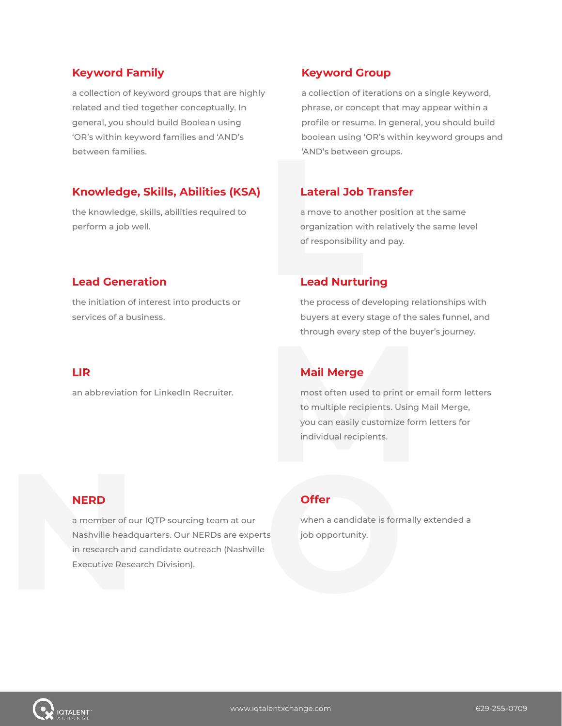#### **Keyword Family**

a collection of keyword groups that are highly related and tied together conceptually. In general, you should build Boolean using 'OR's within keyword families and 'AND's between families.

# **Knowledge, Skills, Abilities (KSA)**

the knowledge, skills, abilities required to perform a job well.

# **Keyword Group**

a collection of iterations on a single keyword, phrase, or concept that may appear within a profile or resume. In general, you should build boolean using 'OR's within keyword groups and 'AND's between groups.

# **Lateral Job Transfer**

'AND's between'<br> **Lateral Job**<br>
a move to anot<br>
organization wi<br>
of responsibility<br> **Lead Nurtu**<br>
the process of c a move to another position at the same organization with relatively the same level of responsibility and pay.

# **Lead Generation**

the initiation of interest into products or services of a business.

#### **Lead Nurturing**

the process of developing relationships with buyers at every stage of the sales funnel, and through every step of the buyer's journey.

#### **LIR**

an abbreviation for LinkedIn Recruiter.

# **Mail Merge**

most often used to print or email form letters to multiple recipients. Using Mail Merge, through every step of the buyer's journey<br> **Mail Merge**<br>
most often used to print or email form letters for<br>
to multiple recipients. Using Mail Merge,<br>
you can easily customize form letters for<br>
individual recipients.

# **NERD**

**NERD**<br>
a member of ou<br>
Nashville headq<br>
in research and<br>
Executive Resea a member of our IQTP sourcing team at our Nashville headquarters. Our NERDs are experts in research and candidate outreach (Nashville **NERD**<br> **Offer**<br> **COLOGET ACCORDED ACCORDED ACCORDED ACCORDED ACCORDED ACCORDED ACCORDED ACCORDED ACCORDED ACCORDED ACCORDED ACCORDED Executive Research Division).<br>
Executive Research Division).** 

# **Offer**

when a candidate is formally extended a job opportunity.

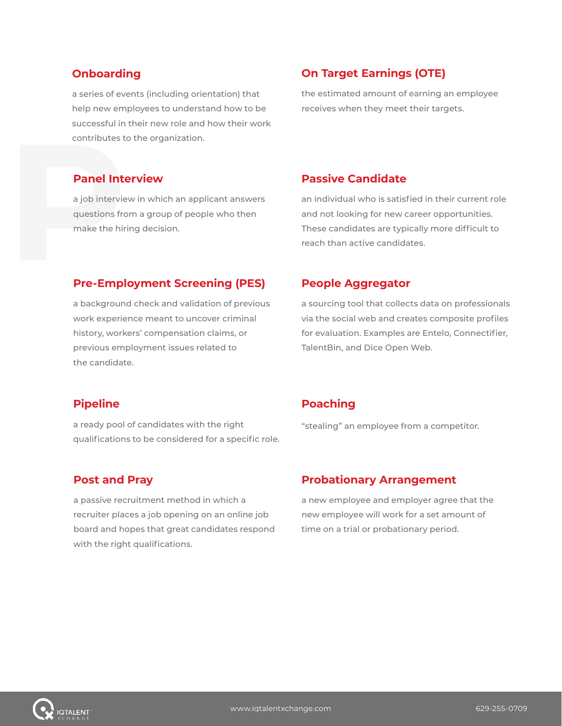#### **Onboarding**

a series of events (including orientation) that help new employees to understand how to be successful in their new role and how their work contributes to the organization.

# **On Target Earnings (OTE)**

the estimated amount of earning an employee receives when they meet their targets.

#### **Panel Interview**

contributes to<br> **Panel Inte**<br>
a job intervie<br>
questions fro<br>
make the hiri<br> **Pre-Empl** a job interview in which an applicant answers questions from a group of people who then make the hiring decision.

#### **Passive Candidate**

an individual who is satisfied in their current role and not looking for new career opportunities. These candidates are typically more difficult to reach than active candidates.

#### **Pre-Employment Screening (PES)**

a background check and validation of previous work experience meant to uncover criminal history, workers' compensation claims, or previous employment issues related to the candidate.

#### **People Aggregator**

a sourcing tool that collects data on professionals via the social web and creates composite profiles for evaluation. Examples are Entelo, Connectifier, TalentBin, and Dice Open Web.

#### **Pipeline**

a ready pool of candidates with the right qualifications to be considered for a specific role.

#### **Post and Pray**

a passive recruitment method in which a recruiter places a job opening on an online job board and hopes that great candidates respond with the right qualifications.

# **Poaching**

"stealing" an employee from a competitor.

#### **Probationary Arrangement**

a new employee and employer agree that the new employee will work for a set amount of time on a trial or probationary period.

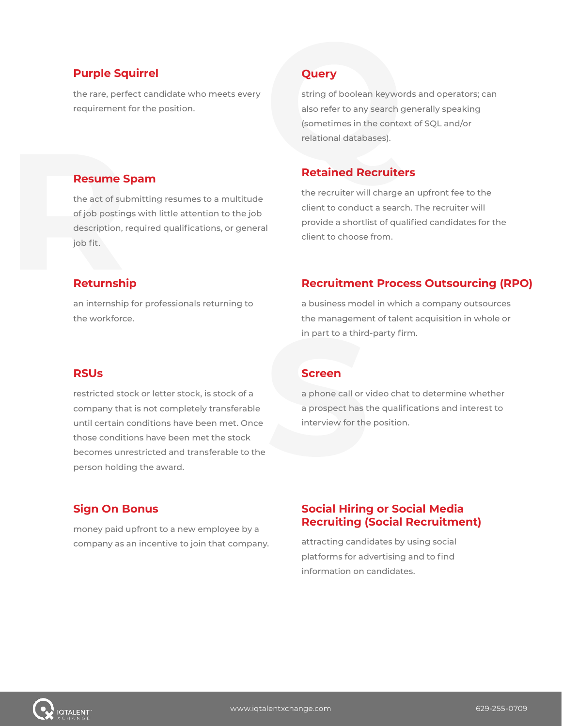#### **Purple Squirrel**

**Resume Spam**

the rare, perfect candidate who meets every

the act of submitting resumes to a multitude of job postings with little attention to the job description, required qualifications, or general

#### **Query**

**Purple Squirrel Cuery**<br>
the rare, perfect candidate who meets every<br>
requirement for the position.<br>
requirement for the position.<br>
<br> **Resume Spam Retained Recruite** string of boolean keywords and operators; can also refer to any search generally speaking (sometimes in the context of SQL and/or relational databases).

#### **Retained Recruiters**

the recruiter will charge an upfront fee to the client to conduct a search. The recruiter will provide a shortlist of qualified candidates for the client to choose from.

# **Resume S**<br>the act of suk<br>of job posting<br>description, r<br>job fit. **Returnship**

job fit.

an internship for professionals returning to the workforce.

#### **Recruitment Process Outsourcing (RPO)**

a business model in which a company outsources the management of talent acquisition in whole or in part to a third-party firm.

#### **RSUs**

restricted stock or letter stock, is stock of a company that is not completely transferable until certain conditions have been met. Once those conditions have been met the stock becomes unrestricted and transferable to the person holding the award.

#### **Screen**

in part to a third<br>
Screen<br>
a phone call or v<br>
a prospect has tl<br>
interview for the a phone call or video chat to determine whether a prospect has the qualifications and interest to interview for the position.

#### **Sign On Bonus**

money paid upfront to a new employee by a company as an incentive to join that company.

# **Social Hiring or Social Media Recruiting (Social Recruitment)**

attracting candidates by using social platforms for advertising and to find information on candidates.